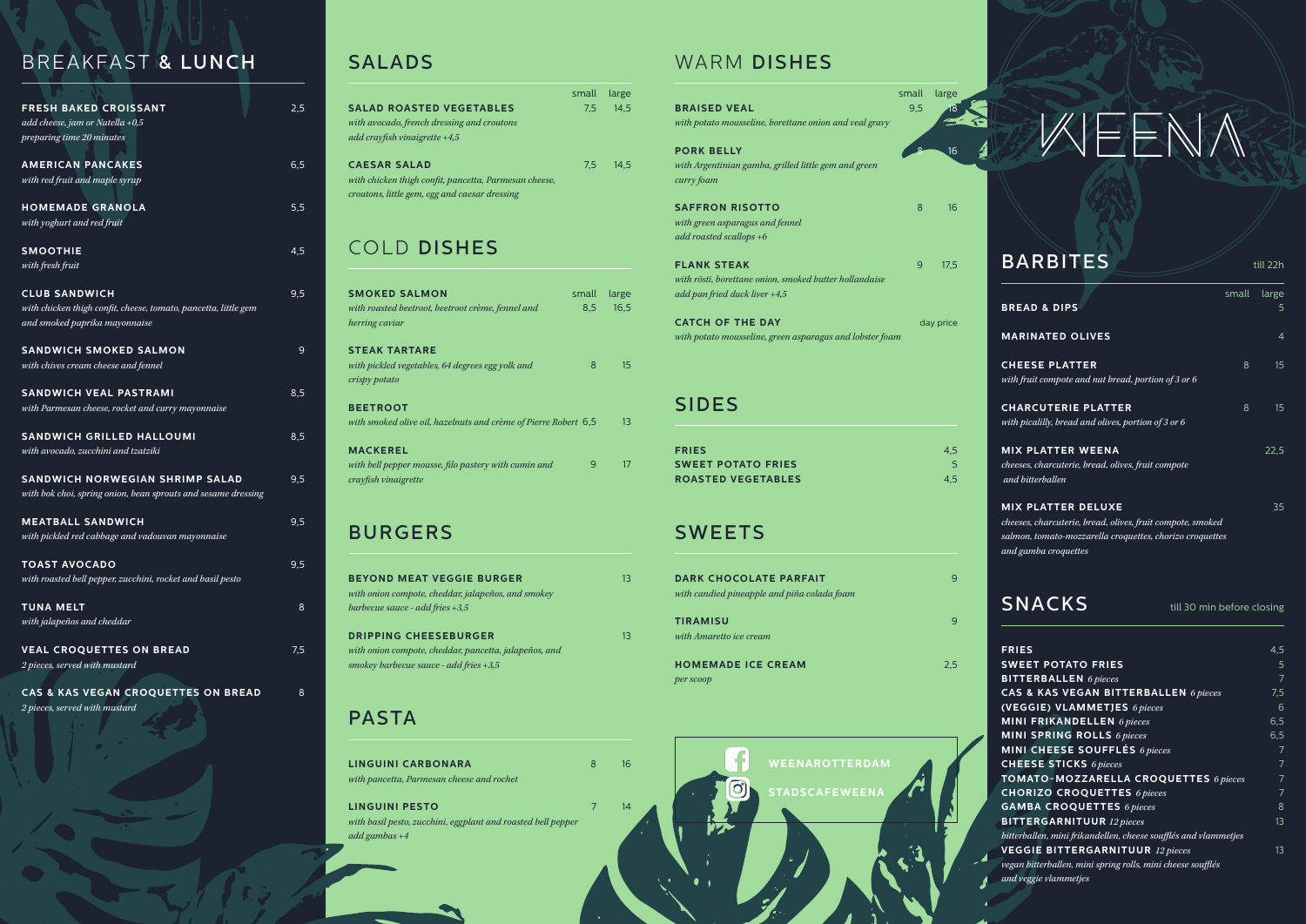# SALADS

### COLD DISHES

### BURGERS

### PASTA

**LINGUINI PESTO** *with basil pesto, zucchini, eggplant and roasted bell pepper add gambas +4*

### WARM DISHES

### SIDES

|                                                       | small | large |
|-------------------------------------------------------|-------|-------|
| <b>SALAD ROASTED VEGETABLES</b>                       | 7.5   | 14.5  |
| with avocado, french dressing and croutons            |       |       |
| add crayfish vinaigrette $+4.5$                       |       |       |
| <b>CAESAR SALAD</b>                                   | 7.5   | 14.5  |
| with chicken thigh confit, pancetta, Parmesan cheese, |       |       |
| croutons, little gem, egg and caesar dressing         |       |       |

### SNACKS

| <b>SMOKED SALMON</b><br>with roasted beetroot, beetroot crème, fennel and<br>herring caviar     | small<br>8.5 | large<br>16.5 |
|-------------------------------------------------------------------------------------------------|--------------|---------------|
| <b>STEAK TARTARE</b><br>with pickled vegetables, 64 degrees egg yolk and<br>crispy potato       | 8            | 15            |
| <b>BEETROOT</b><br>with smoked olive oil, hazelnuts and crème of Pierre Robert 6,5              |              | 13            |
| <b>MACKEREL</b><br>with bell pepper mousse, filo pastery with cumin and<br>crayfish vinaigrette | 9            | 17            |

| <b>BEYOND MEAT VEGGIE BURGER</b><br>with onion compote, cheddar, jalapeños, and smokey<br>barbecue sauce - add fries $+3.5$       | 13 |
|-----------------------------------------------------------------------------------------------------------------------------------|----|
| <b>DRIPPING CHEESEBURGER</b><br>with onion compote, cheddar, pancetta, jalapeños, and<br>smokey barbecue sauce - add fries $+3.5$ | 13 |

| <b>LINGUINI CARBONARA</b>                 |  |
|-------------------------------------------|--|
| with pancetta, Parmesan cheese and rochet |  |

| <b>FRIES</b>                                                    | 4,5 |
|-----------------------------------------------------------------|-----|
| <b>SWEET POTATO FRIES</b>                                       | 5   |
| <b>BITTERBALLEN</b> 6 pieces                                    | 7   |
| <b>CAS &amp; KAS VEGAN BITTERBALLEN</b> 6 pieces                | 7,5 |
| (VEGGIE) VLAMMETJES 6 pieces                                    | 6   |
| <b>MINI FRIKANDELLEN</b> 6 pieces                               | 6,5 |
| <b>MINI SPRING ROLLS</b> 6 pieces                               | 6,5 |
| MINI CHEESE SOUFFLÉS 6 pieces                                   | 7   |
| <b>CHEESE STICKS</b> 6 pieces                                   | 7   |
| TOMATO-MOZZARELLA CROQUETTES 6 pieces                           | 7   |
| <b>CHORIZO CROQUETTES 6 pieces</b>                              | 7   |
| <b>GAMBA CROQUETTES 6 pieces</b>                                | 8   |
| <b>BITTERGARNITUUR</b> 12 pieces                                | 13  |
| bitterballen, mini frikandellen, cheese soufflés and vlammetjes |     |
| <b>VEGGIE BITTERGARNITUUR</b> 12 pieces                         | 13  |
| vegan bitterballen, mini spring rolls, mini cheese soufflés     |     |
| and veggie vlammetjes                                           |     |

| <b>FRIES</b>              | 4.5 |
|---------------------------|-----|
| <b>SWEET POTATO FRIES</b> |     |
| <b>ROASTED VEGETABLES</b> | 4.5 |

### **SWEETS**

till 30 min before closing

| <b>BRAISED VEAL</b><br>with potato mousseline, borettane onion and veal gravy                                      | small<br>9.5 | large<br>18 |  |
|--------------------------------------------------------------------------------------------------------------------|--------------|-------------|--|
| <b>PORK BELLY</b><br>with Argentinian gamba, grilled little gem and green                                          |              | 16          |  |
| curry foam<br><b>SAFFRON RISOTTO</b><br>with green asparagus and fennel                                            | 8            | 16          |  |
| add roasted scallops $+6$<br><b>FLANK STEAK</b>                                                                    | 9            | 17,5        |  |
| with rösti, borettane onion, smoked butter hollandaise<br>add pan fried duck liver +4,5<br><b>CATCH OF THE DAY</b> |              |             |  |
| with potato mousseline, green asparagus and lobster foam                                                           |              | day price   |  |

| <b>DARK CHOCOLATE PARFAIT</b><br>with candied pineapple and piña colada foam | ч   |
|------------------------------------------------------------------------------|-----|
| <b>TIRAMISU</b><br>with Amaretto ice cream                                   | Ч   |
| <b>HOMEMADE ICE CREAM</b><br>per scoop                                       | 2.5 |

### BREAKFAST & LUNCH

| <b>BARBITES</b>                                                                                                                                                             |       | till 22h    |
|-----------------------------------------------------------------------------------------------------------------------------------------------------------------------------|-------|-------------|
| <b>BREAD &amp; DIPS</b>                                                                                                                                                     | small | large<br>5. |
| <b>MARINATED OLIVES</b>                                                                                                                                                     |       | 4           |
| <b>CHEESE PLATTER</b><br>with fruit compote and nut bread, portion of 3 or 6                                                                                                | 8     | 15          |
| <b>CHARCUTERIE PLATTER</b><br>with picalilly, bread and olives, portion of 3 or 6                                                                                           | 8     | 15          |
| <b>MIX PLATTER WEENA</b><br>cheeses, charcuterie, bread, olives, fruit compote<br>and bitterballen                                                                          |       | 22,5        |
| <b>MIX PLATTER DELUXE</b><br>cheeses, charcuterie, bread, olives, fruit compote, smoked<br>salmon, tomato-mozzarella croquettes, chorizo croquettes<br>and gamba croquettes |       | 35          |

| <b>FRESH BAKED CROISSANT</b><br>add cheese, jam or Nutella $+0.5$ | 2,5              |
|-------------------------------------------------------------------|------------------|
| preparing time 20 minutes                                         |                  |
| <b>AMERICAN PANCAKES</b>                                          | $6,\overline{5}$ |
| with red fruit and maple syrup                                    |                  |
| <b>HOMEMADE GRANOLA</b>                                           | 5,5              |
| with yoghurt and red fruit                                        |                  |
| <b>SMOOTHIE</b>                                                   | 4,5              |
| with fresh fruit                                                  |                  |
| <b>CLUB SANDWICH</b>                                              | 9,5              |
| with chicken thigh confit, cheese, tomato, pancetta, little gem   |                  |
| and smoked paprika mayonnaise                                     |                  |
| <b>SANDWICH SMOKED SALMON</b>                                     | 9                |
| with chives cream cheese and fennel                               |                  |
| <b>SANDWICH VEAL PASTRAMI</b>                                     | 8,5              |
| with Parmesan cheese, rocket and curry mayonnaise                 |                  |
| <b>SANDWICH GRILLED HALLOUMI</b>                                  | 8,5              |
| with avocado, zucchini and tzatziki                               |                  |
| <b>SANDWICH NORWEGIAN SHRIMP SALAD</b>                            | 9,5              |
| with bok choi, spring onion, bean sprouts and sesame dressing     |                  |
| <b>MEATBALL SANDWICH</b>                                          | 9,5              |
| with pickled red cabbage and vadouvan mayonnaise                  |                  |
| <b>TOAST AVOCADO</b>                                              | 9,5              |
| with roasted bell pepper, zucchini, rocket and basil pesto        |                  |
| <b>TUNA MELT</b>                                                  | 8                |
| with jalapeños and cheddar                                        |                  |
| <b>VEAL CROQUETTES ON BREAD</b>                                   | 7.5              |
| 2 pieces, served with mustard                                     |                  |
| CAS & KAS VEGAN CROQUETTES ON BREAD                               | 8                |

*2 pieces, served with mustard*

16

14

7



# WEENA